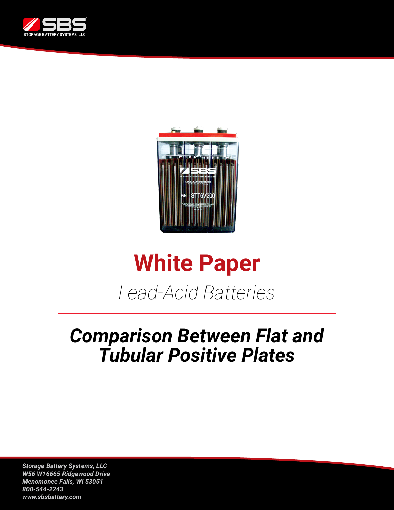



# **White Paper**

*Lead-Acid Batteries*

## *Comparison Between Flat and Tubular Positive Plates*

*Storage Battery Systems, LLC W56 W16665 Ridgewood Drive Menomonee Falls, WI 53051 800-544-2243 [www.sbsbattery.com](https://www.sbsbattery.com/)*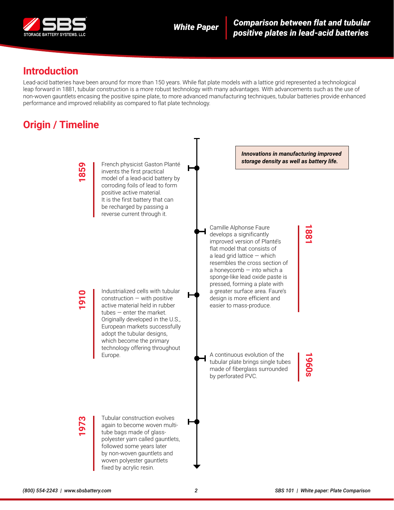

#### **Introduction**

Lead-acid batteries have been around for more than 150 years. While flat plate models with a lattice grid represented a technological leap forward in 1881, tubular construction is a more robust technology with many advantages. With advancements such as the use of non-woven gauntlets encasing the positive spine plate, to more advanced manufacturing techniques, tubular batteries provide enhanced performance and improved reliability as compared to flat plate technology.

### **Origin / Timeline**

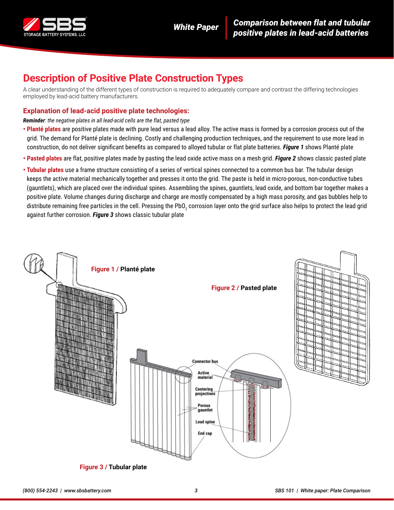

#### **Description of Positive Plate Construction Types**

A clear understanding of the different types of construction is required to adequately compare and contrast the differing technologies employed by lead-acid battery manufacturers.

#### **Explanation of lead-acid positive plate technologies:**

*Reminder: the negative plates in all lead-acid cells are the flat, pasted type*

- **Planté plates** are positive plates made with pure lead versus a lead alloy. The active mass is formed by a corrosion process out of the grid. The demand for Planté plate is declining. Costly and challenging production techniques, and the requirement to use more lead in construction, do not deliver significant benefits as compared to alloyed tubular or flat plate batteries. *Figure 1* shows Planté plate
- **Pasted plates** are flat, positive plates made by pasting the lead oxide active mass on a mesh grid. *Figure 2* shows classic pasted plate
- **Tubular plates** use a frame structure consisting of a series of vertical spines connected to a common bus bar. The tubular design keeps the active material mechanically together and presses it onto the grid. The paste is held in micro-porous, non-conductive tubes (gauntlets), which are placed over the individual spines. Assembling the spines, gauntlets, lead oxide, and bottom bar together makes a positive plate. Volume changes during discharge and charge are mostly compensated by a high mass porosity, and gas bubbles help to distribute remaining free particles in the cell. Pressing the PbO $_2$  corrosion layer onto the grid surface also helps to protect the lead grid against further corrosion. *Figure 3* shows classic tubular plate

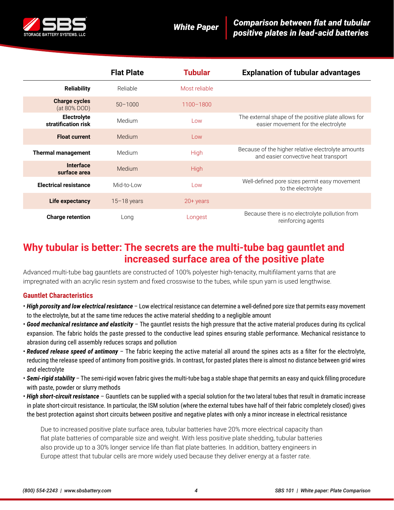

|                                      | <b>Flat Plate</b> | <b>Tubular</b> | <b>Explanation of tubular advantages</b>                                                   |
|--------------------------------------|-------------------|----------------|--------------------------------------------------------------------------------------------|
| <b>Reliability</b>                   | Reliable          | Most reliable  |                                                                                            |
| <b>Charge cycles</b><br>(at 80% DOD) | $50 - 1000$       | 1100-1800      |                                                                                            |
| Electrolyte<br>stratification risk   | Medium            | Low            | The external shape of the positive plate allows for<br>easier movement for the electrolyte |
| <b>Float current</b>                 | Medium            | Low            |                                                                                            |
| <b>Thermal management</b>            | Medium            | High           | Because of the higher relative electrolyte amounts<br>and easier convective heat transport |
| <b>Interface</b><br>surface area     | Medium            | High           |                                                                                            |
| <b>Electrical resistance</b>         | Mid-to-Low        | Low            | Well-defined pore sizes permit easy movement<br>to the electrolyte                         |
| Life expectancy                      | $15-18$ years     | $20+$ years    |                                                                                            |
| <b>Charge retention</b>              | Long              | Longest        | Because there is no electrolyte pollution from<br>reinforcing agents                       |

#### **Why tubular is better: The secrets are the multi-tube bag gauntlet and increased surface area of the positive plate**

Advanced multi-tube bag gauntlets are constructed of 100% polyester high-tenacity, multifilament yarns that are impregnated with an acrylic resin system and fixed crosswise to the tubes, while spun yarn is used lengthwise.

#### **Gauntlet Characteristics**

- *High porosity and low electrical resistance* Low electrical resistance can determine a well-defined pore size that permits easy movement to the electrolyte, but at the same time reduces the active material shedding to a negligible amount
- *Good mechanical resistance and elasticity* The gauntlet resists the high pressure that the active material produces during its cyclical expansion. The fabric holds the paste pressed to the conductive lead spines ensuring stable performance. Mechanical resistance to abrasion during cell assembly reduces scraps and pollution
- *Reduced release speed of antimony* The fabric keeping the active material all around the spines acts as a filter for the electrolyte, reducing the release speed of antimony from positive grids. In contrast, for pasted plates there is almost no distance between grid wires and electrolyte
- *Semi-rigid stability* The semi-rigid woven fabric gives the multi-tube bag a stable shape that permits an easy and quick filling procedure with paste, powder or slurry methods
- *High short-circuit resistance* Gauntlets can be supplied with a special solution for the two lateral tubes that result in dramatic increase in plate short-circuit resistance. In particular, the ISM solution (where the external tubes have half of their fabric completely closed) gives the best protection against short circuits between positive and negative plates with only a minor increase in electrical resistance

Due to increased positive plate surface area, tubular batteries have 20% more electrical capacity than flat plate batteries of comparable size and weight. With less positive plate shedding, tubular batteries also provide up to a 30% longer service life than flat plate batteries. In addition, battery engineers in Europe attest that tubular cells are more widely used because they deliver energy at a faster rate.